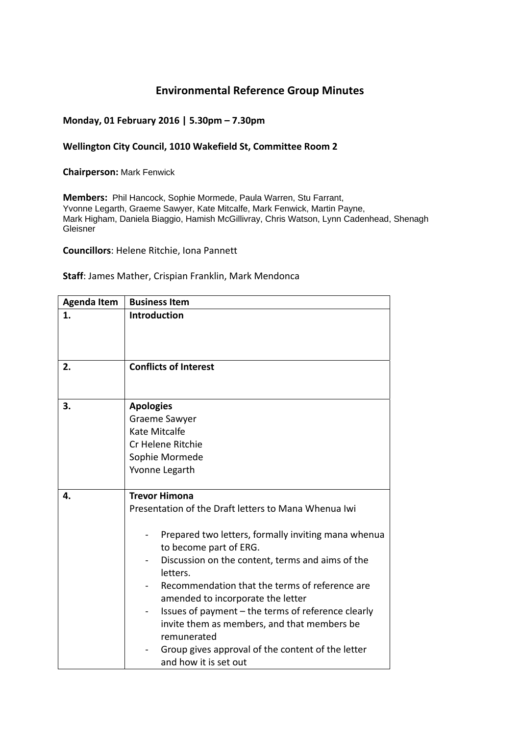## **Environmental Reference Group Minutes**

## **Monday, 01 February 2016 | 5.30pm – 7.30pm**

## **Wellington City Council, 1010 Wakefield St, Committee Room 2**

**Chairperson:** Mark Fenwick

**Members:** Phil Hancock, Sophie Mormede, Paula Warren, Stu Farrant, Yvonne Legarth, Graeme Sawyer, Kate Mitcalfe, Mark Fenwick, Martin Payne, Mark Higham, Daniela Biaggio, Hamish McGillivray, Chris Watson, Lynn Cadenhead, Shenagh Gleisner

**Councillors**: Helene Ritchie, Iona Pannett

## **Staff**: James Mather, Crispian Franklin, Mark Mendonca

| <b>Agenda Item</b> | <b>Business Item</b>                                                                                                                                                                                                                                                                                                                                                                                                                                                                                                   |
|--------------------|------------------------------------------------------------------------------------------------------------------------------------------------------------------------------------------------------------------------------------------------------------------------------------------------------------------------------------------------------------------------------------------------------------------------------------------------------------------------------------------------------------------------|
| 1.                 | <b>Introduction</b>                                                                                                                                                                                                                                                                                                                                                                                                                                                                                                    |
| 2.                 | <b>Conflicts of Interest</b>                                                                                                                                                                                                                                                                                                                                                                                                                                                                                           |
| 3.                 | <b>Apologies</b><br>Graeme Sawyer<br>Kate Mitcalfe<br>Cr Helene Ritchie<br>Sophie Mormede<br>Yvonne Legarth                                                                                                                                                                                                                                                                                                                                                                                                            |
| 4.                 | <b>Trevor Himona</b><br>Presentation of the Draft letters to Mana Whenua Iwi<br>Prepared two letters, formally inviting mana whenua<br>to become part of ERG.<br>Discussion on the content, terms and aims of the<br>letters.<br>Recommendation that the terms of reference are<br>amended to incorporate the letter<br>Issues of payment - the terms of reference clearly<br>invite them as members, and that members be<br>remunerated<br>Group gives approval of the content of the letter<br>and how it is set out |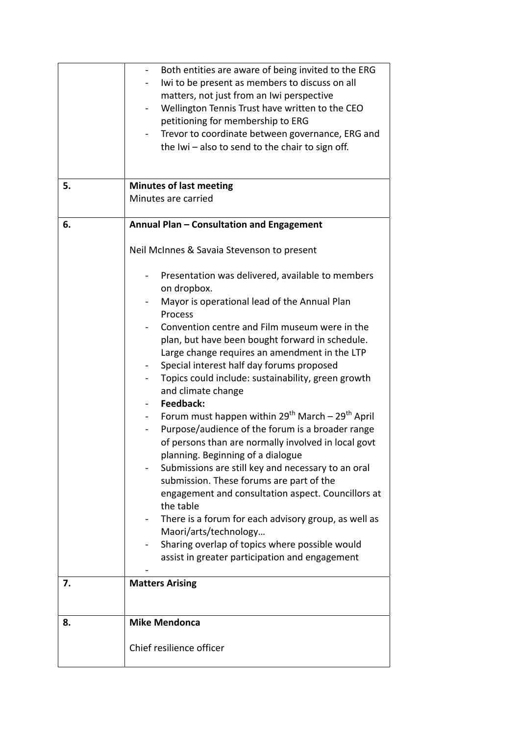|    | Both entities are aware of being invited to the ERG<br>Iwi to be present as members to discuss on all<br>matters, not just from an Iwi perspective<br>Wellington Tennis Trust have written to the CEO<br>petitioning for membership to ERG<br>Trevor to coordinate between governance, ERG and<br>the Iwi - also to send to the chair to sign off.                                                                                                                                                                                                                                                                                                                                                                                                                                                                                                                                                                                                                                                          |
|----|-------------------------------------------------------------------------------------------------------------------------------------------------------------------------------------------------------------------------------------------------------------------------------------------------------------------------------------------------------------------------------------------------------------------------------------------------------------------------------------------------------------------------------------------------------------------------------------------------------------------------------------------------------------------------------------------------------------------------------------------------------------------------------------------------------------------------------------------------------------------------------------------------------------------------------------------------------------------------------------------------------------|
| 5. | <b>Minutes of last meeting</b><br>Minutes are carried                                                                                                                                                                                                                                                                                                                                                                                                                                                                                                                                                                                                                                                                                                                                                                                                                                                                                                                                                       |
| 6. | Annual Plan - Consultation and Engagement                                                                                                                                                                                                                                                                                                                                                                                                                                                                                                                                                                                                                                                                                                                                                                                                                                                                                                                                                                   |
|    | Neil McInnes & Savaia Stevenson to present                                                                                                                                                                                                                                                                                                                                                                                                                                                                                                                                                                                                                                                                                                                                                                                                                                                                                                                                                                  |
|    | Presentation was delivered, available to members<br>on dropbox.<br>Mayor is operational lead of the Annual Plan<br>Process<br>Convention centre and Film museum were in the<br>plan, but have been bought forward in schedule.<br>Large change requires an amendment in the LTP<br>Special interest half day forums proposed<br>Topics could include: sustainability, green growth<br>and climate change<br>Feedback:<br>Forum must happen within 29 <sup>th</sup> March - 29 <sup>th</sup> April<br>Purpose/audience of the forum is a broader range<br>of persons than are normally involved in local govt<br>planning. Beginning of a dialogue<br>Submissions are still key and necessary to an oral<br>submission. These forums are part of the<br>engagement and consultation aspect. Councillors at<br>the table<br>There is a forum for each advisory group, as well as<br>Maori/arts/technology<br>Sharing overlap of topics where possible would<br>assist in greater participation and engagement |
| 7. | <b>Matters Arising</b>                                                                                                                                                                                                                                                                                                                                                                                                                                                                                                                                                                                                                                                                                                                                                                                                                                                                                                                                                                                      |
| 8. | <b>Mike Mendonca</b>                                                                                                                                                                                                                                                                                                                                                                                                                                                                                                                                                                                                                                                                                                                                                                                                                                                                                                                                                                                        |
|    | Chief resilience officer                                                                                                                                                                                                                                                                                                                                                                                                                                                                                                                                                                                                                                                                                                                                                                                                                                                                                                                                                                                    |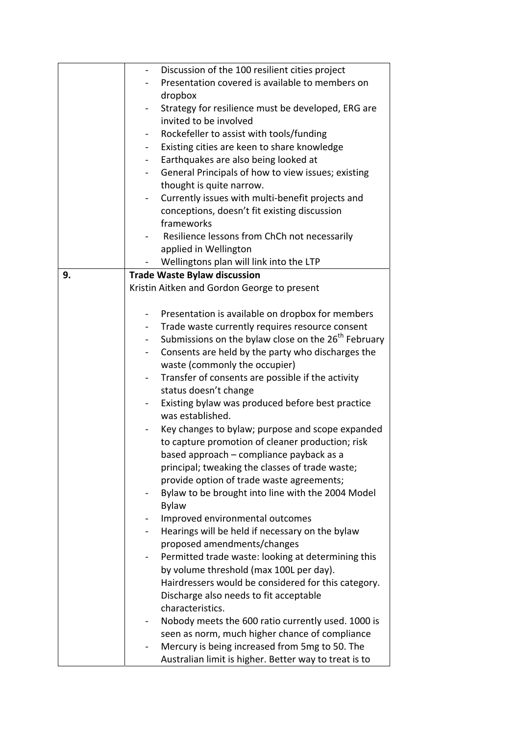|    | Discussion of the 100 resilient cities project                    |
|----|-------------------------------------------------------------------|
|    | Presentation covered is available to members on                   |
|    | dropbox                                                           |
|    | Strategy for resilience must be developed, ERG are                |
|    | invited to be involved                                            |
|    | Rockefeller to assist with tools/funding                          |
|    | Existing cities are keen to share knowledge                       |
|    | Earthquakes are also being looked at<br>$\blacksquare$            |
|    | General Principals of how to view issues; existing                |
|    | thought is quite narrow.                                          |
|    | Currently issues with multi-benefit projects and                  |
|    | conceptions, doesn't fit existing discussion                      |
|    | frameworks                                                        |
|    | Resilience lessons from ChCh not necessarily                      |
|    | applied in Wellington                                             |
|    | Wellingtons plan will link into the LTP                           |
| 9. | <b>Trade Waste Bylaw discussion</b>                               |
|    | Kristin Aitken and Gordon George to present                       |
|    |                                                                   |
|    | Presentation is available on dropbox for members                  |
|    | Trade waste currently requires resource consent<br>۰              |
|    | Submissions on the bylaw close on the 26 <sup>th</sup> February   |
|    | Consents are held by the party who discharges the                 |
|    | waste (commonly the occupier)                                     |
|    | Transfer of consents are possible if the activity                 |
|    | status doesn't change                                             |
|    | Existing bylaw was produced before best practice                  |
|    | was established.                                                  |
|    | Key changes to bylaw; purpose and scope expanded                  |
|    | to capture promotion of cleaner production; risk                  |
|    | based approach – compliance payback as a                          |
|    | principal; tweaking the classes of trade waste;                   |
|    | provide option of trade waste agreements;                         |
|    | Bylaw to be brought into line with the 2004 Model                 |
|    | <b>Bylaw</b>                                                      |
|    | Improved environmental outcomes                                   |
|    | Hearings will be held if necessary on the bylaw<br>$\blacksquare$ |
|    | proposed amendments/changes                                       |
|    | Permitted trade waste: looking at determining this                |
|    | by volume threshold (max 100L per day).                           |
|    | Hairdressers would be considered for this category.               |
|    | Discharge also needs to fit acceptable                            |
|    | characteristics.                                                  |
|    | Nobody meets the 600 ratio currently used. 1000 is                |
|    | seen as norm, much higher chance of compliance                    |
|    | Mercury is being increased from 5mg to 50. The                    |
|    | Australian limit is higher. Better way to treat is to             |